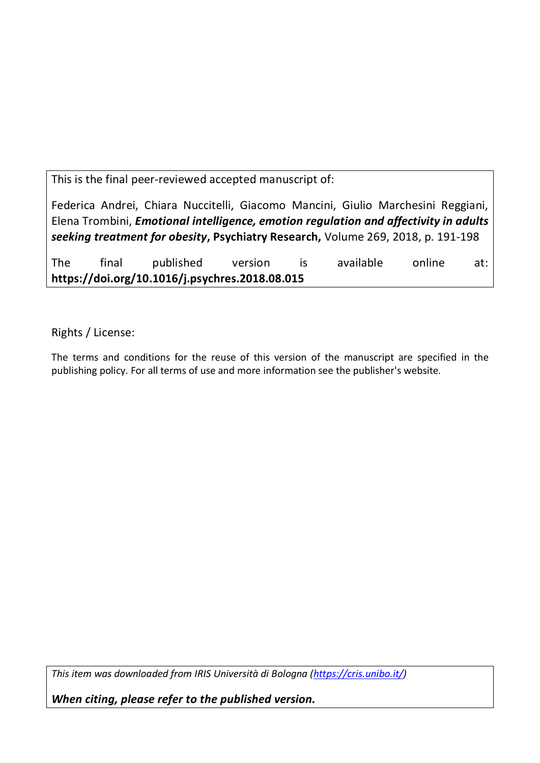This is the final peer-reviewed accepted manuscript of:

Federica Andrei, Chiara Nuccitelli, Giacomo Mancini, Giulio Marchesini Reggiani, Elena Trombini, *Emotional intelligence, emotion regulation and affectivity in adults seeking treatment for obesity***, Psychiatry Research,** Volume 269, 2018, p. 191-198

The final published version is available online at: **https://doi.org/10.1016/j.psychres.2018.08.015**

Rights / License:

The terms and conditions for the reuse of this version of the manuscript are specified in the publishing policy. For all terms of use and more information see the publisher's website.

*This item was downloaded from IRIS Università di Bologna (https://cris.unibo.it/)*

*When citing, please refer to the published version.*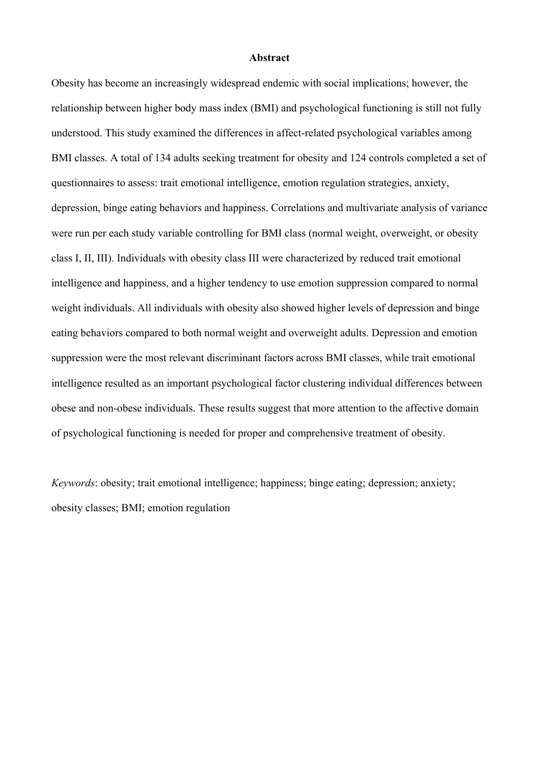#### **Abstract**

Obesity has become an increasingly widespread endemic with social implications; however, the relationship between higher body mass index (BMI) and psychological functioning is still not fully understood. This study examined the differences in affect-related psychological variables among BMI classes. A total of 134 adults seeking treatment for obesity and 124 controls completed a set of questionnaires to assess: trait emotional intelligence, emotion regulation strategies, anxiety, depression, binge eating behaviors and happiness. Correlations and multivariate analysis of variance were run per each study variable controlling for BMI class (normal weight, overweight, or obesity class I, II, III). Individuals with obesity class III were characterized by reduced trait emotional intelligence and happiness, and a higher tendency to use emotion suppression compared to normal weight individuals. All individuals with obesity also showed higher levels of depression and binge eating behaviors compared to both normal weight and overweight adults. Depression and emotion suppression were the most relevant discriminant factors across BMI classes, while trait emotional intelligence resulted as an important psychological factor clustering individual differences between obese and non-obese individuals. These results suggest that more attention to the affective domain of psychological functioning is needed for proper and comprehensive treatment of obesity.

*Keywords*: obesity; trait emotional intelligence; happiness; binge eating; depression; anxiety; obesity classes; BMI; emotion regulation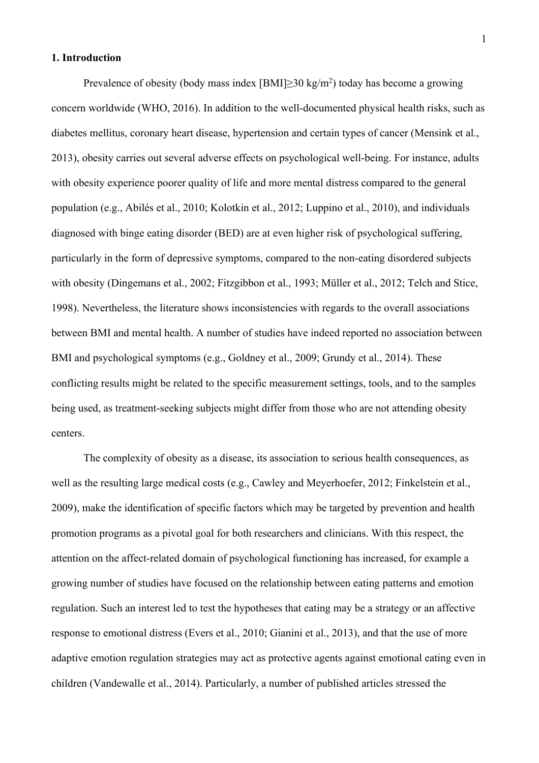## **1. Introduction**

Prevalence of obesity (body mass index  $[BMI] \geq 30 \text{ kg/m}^2$ ) today has become a growing concern worldwide (WHO, 2016). In addition to the well-documented physical health risks, such as diabetes mellitus, coronary heart disease, hypertension and certain types of cancer (Mensink et al., 2013), obesity carries out several adverse effects on psychological well-being. For instance, adults with obesity experience poorer quality of life and more mental distress compared to the general population (e.g., Abilés et al., 2010; Kolotkin et al., 2012; Luppino et al., 2010), and individuals diagnosed with binge eating disorder (BED) are at even higher risk of psychological suffering, particularly in the form of depressive symptoms, compared to the non-eating disordered subjects with obesity (Dingemans et al., 2002; Fitzgibbon et al., 1993; Müller et al., 2012; Telch and Stice, 1998). Nevertheless, the literature shows inconsistencies with regards to the overall associations between BMI and mental health. A number of studies have indeed reported no association between BMI and psychological symptoms (e.g., Goldney et al., 2009; Grundy et al., 2014). These conflicting results might be related to the specific measurement settings, tools, and to the samples being used, as treatment-seeking subjects might differ from those who are not attending obesity centers.

The complexity of obesity as a disease, its association to serious health consequences, as well as the resulting large medical costs (e.g., Cawley and Meyerhoefer, 2012; Finkelstein et al., 2009), make the identification of specific factors which may be targeted by prevention and health promotion programs as a pivotal goal for both researchers and clinicians. With this respect, the attention on the affect-related domain of psychological functioning has increased, for example a growing number of studies have focused on the relationship between eating patterns and emotion regulation. Such an interest led to test the hypotheses that eating may be a strategy or an affective response to emotional distress (Evers et al., 2010; Gianini et al., 2013), and that the use of more adaptive emotion regulation strategies may act as protective agents against emotional eating even in children (Vandewalle et al., 2014). Particularly, a number of published articles stressed the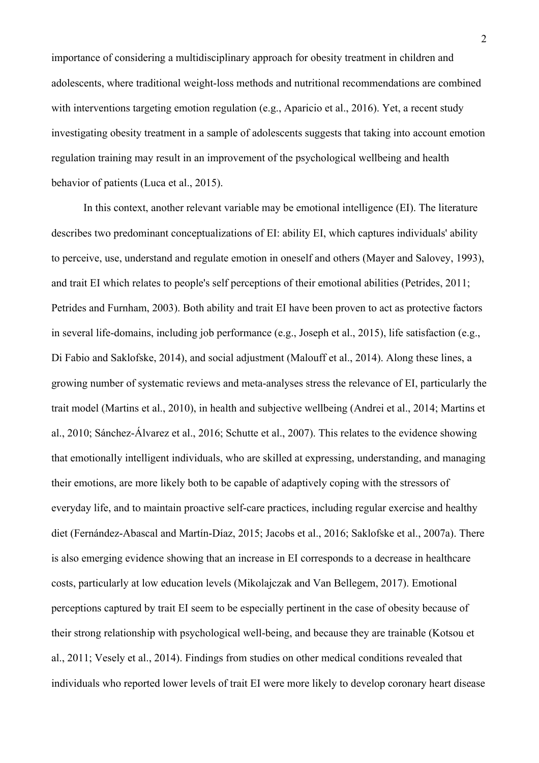importance of considering a multidisciplinary approach for obesity treatment in children and adolescents, where traditional weight-loss methods and nutritional recommendations are combined with interventions targeting emotion regulation (e.g., Aparicio et al., 2016). Yet, a recent study investigating obesity treatment in a sample of adolescents suggests that taking into account emotion regulation training may result in an improvement of the psychological wellbeing and health behavior of patients (Luca et al., 2015).

In this context, another relevant variable may be emotional intelligence (EI). The literature describes two predominant conceptualizations of EI: ability EI, which captures individuals' ability to perceive, use, understand and regulate emotion in oneself and others (Mayer and Salovey, 1993), and trait EI which relates to people's self perceptions of their emotional abilities (Petrides, 2011; Petrides and Furnham, 2003). Both ability and trait EI have been proven to act as protective factors in several life-domains, including job performance (e.g., Joseph et al., 2015), life satisfaction (e.g., Di Fabio and Saklofske, 2014), and social adjustment (Malouff et al., 2014). Along these lines, a growing number of systematic reviews and meta-analyses stress the relevance of EI, particularly the trait model (Martins et al., 2010), in health and subjective wellbeing (Andrei et al., 2014; Martins et al., 2010; Sánchez-Álvarez et al., 2016; Schutte et al., 2007). This relates to the evidence showing that emotionally intelligent individuals, who are skilled at expressing, understanding, and managing their emotions, are more likely both to be capable of adaptively coping with the stressors of everyday life, and to maintain proactive self-care practices, including regular exercise and healthy diet (Fernández-Abascal and Martín-Díaz, 2015; Jacobs et al., 2016; Saklofske et al., 2007a). There is also emerging evidence showing that an increase in EI corresponds to a decrease in healthcare costs, particularly at low education levels (Mikolajczak and Van Bellegem, 2017). Emotional perceptions captured by trait EI seem to be especially pertinent in the case of obesity because of their strong relationship with psychological well-being, and because they are trainable (Kotsou et al., 2011; Vesely et al., 2014). Findings from studies on other medical conditions revealed that individuals who reported lower levels of trait EI were more likely to develop coronary heart disease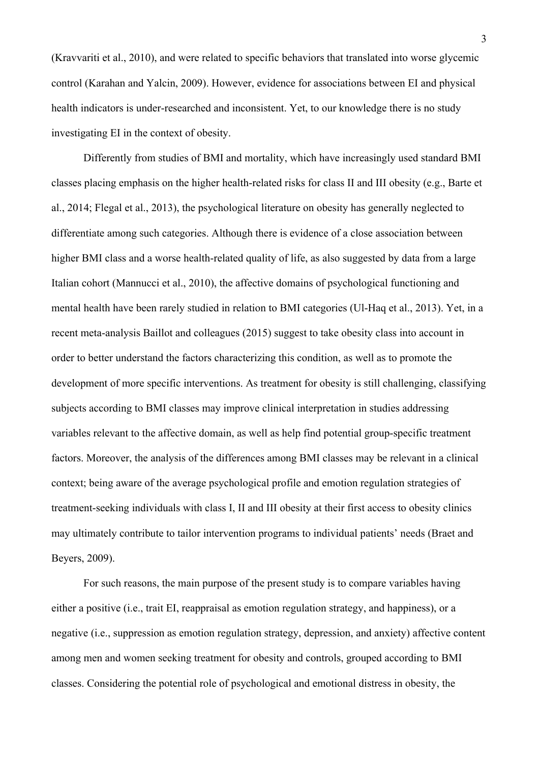(Kravvariti et al., 2010), and were related to specific behaviors that translated into worse glycemic control (Karahan and Yalcin, 2009). However, evidence for associations between EI and physical health indicators is under-researched and inconsistent. Yet, to our knowledge there is no study investigating EI in the context of obesity.

Differently from studies of BMI and mortality, which have increasingly used standard BMI classes placing emphasis on the higher health-related risks for class II and III obesity (e.g., Barte et al., 2014; Flegal et al., 2013), the psychological literature on obesity has generally neglected to differentiate among such categories. Although there is evidence of a close association between higher BMI class and a worse health-related quality of life, as also suggested by data from a large Italian cohort (Mannucci et al., 2010), the affective domains of psychological functioning and mental health have been rarely studied in relation to BMI categories (Ul-Haq et al., 2013). Yet, in a recent meta-analysis Baillot and colleagues (2015) suggest to take obesity class into account in order to better understand the factors characterizing this condition, as well as to promote the development of more specific interventions. As treatment for obesity is still challenging, classifying subjects according to BMI classes may improve clinical interpretation in studies addressing variables relevant to the affective domain, as well as help find potential group-specific treatment factors. Moreover, the analysis of the differences among BMI classes may be relevant in a clinical context; being aware of the average psychological profile and emotion regulation strategies of treatment-seeking individuals with class I, II and III obesity at their first access to obesity clinics may ultimately contribute to tailor intervention programs to individual patients' needs (Braet and Beyers, 2009).

For such reasons, the main purpose of the present study is to compare variables having either a positive (i.e., trait EI, reappraisal as emotion regulation strategy, and happiness), or a negative (i.e., suppression as emotion regulation strategy, depression, and anxiety) affective content among men and women seeking treatment for obesity and controls, grouped according to BMI classes. Considering the potential role of psychological and emotional distress in obesity, the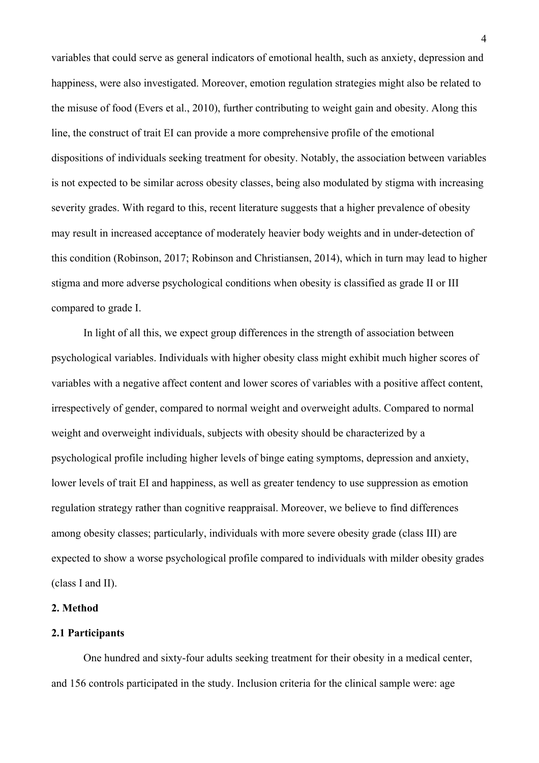variables that could serve as general indicators of emotional health, such as anxiety, depression and happiness, were also investigated. Moreover, emotion regulation strategies might also be related to the misuse of food (Evers et al., 2010), further contributing to weight gain and obesity. Along this line, the construct of trait EI can provide a more comprehensive profile of the emotional dispositions of individuals seeking treatment for obesity. Notably, the association between variables is not expected to be similar across obesity classes, being also modulated by stigma with increasing severity grades. With regard to this, recent literature suggests that a higher prevalence of obesity may result in increased acceptance of moderately heavier body weights and in under-detection of this condition (Robinson, 2017; Robinson and Christiansen, 2014), which in turn may lead to higher stigma and more adverse psychological conditions when obesity is classified as grade II or III compared to grade I.

In light of all this, we expect group differences in the strength of association between psychological variables. Individuals with higher obesity class might exhibit much higher scores of variables with a negative affect content and lower scores of variables with a positive affect content, irrespectively of gender, compared to normal weight and overweight adults. Compared to normal weight and overweight individuals, subjects with obesity should be characterized by a psychological profile including higher levels of binge eating symptoms, depression and anxiety, lower levels of trait EI and happiness, as well as greater tendency to use suppression as emotion regulation strategy rather than cognitive reappraisal. Moreover, we believe to find differences among obesity classes; particularly, individuals with more severe obesity grade (class III) are expected to show a worse psychological profile compared to individuals with milder obesity grades (class I and II).

### **2. Method**

#### **2.1 Participants**

One hundred and sixty-four adults seeking treatment for their obesity in a medical center, and 156 controls participated in the study. Inclusion criteria for the clinical sample were: age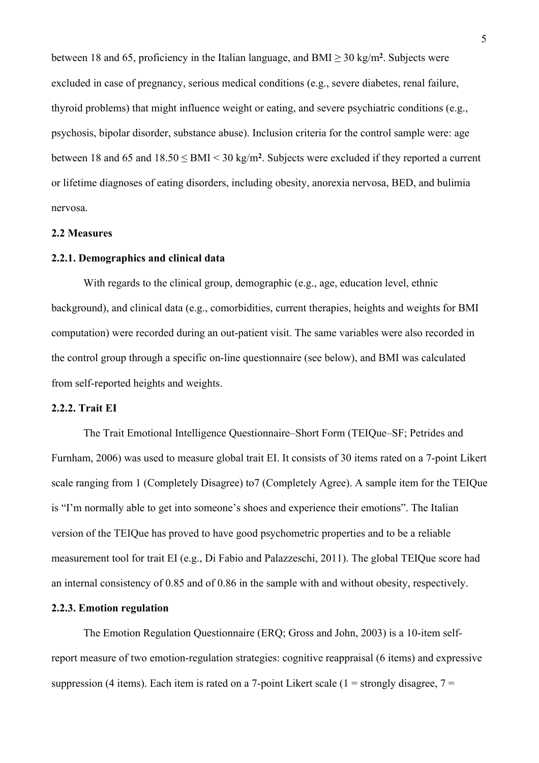between 18 and 65, proficiency in the Italian language, and  $BMI \geq 30$  kg/m<sup>2</sup>. Subjects were excluded in case of pregnancy, serious medical conditions (e.g., severe diabetes, renal failure, thyroid problems) that might influence weight or eating, and severe psychiatric conditions (e.g., psychosis, bipolar disorder, substance abuse). Inclusion criteria for the control sample were: age between 18 and 65 and  $18.50 \leq BMI < 30 \text{ kg/m}^2$ . Subjects were excluded if they reported a current or lifetime diagnoses of eating disorders, including obesity, anorexia nervosa, BED, and bulimia nervosa.

# **2.2 Measures**

#### **2.2.1. Demographics and clinical data**

With regards to the clinical group, demographic (e.g., age, education level, ethnic background), and clinical data (e.g., comorbidities, current therapies, heights and weights for BMI computation) were recorded during an out-patient visit. The same variables were also recorded in the control group through a specific on-line questionnaire (see below), and BMI was calculated from self-reported heights and weights.

### **2.2.2. Trait EI**

The Trait Emotional Intelligence Questionnaire–Short Form (TEIQue–SF; Petrides and Furnham, 2006) was used to measure global trait EI. It consists of 30 items rated on a 7-point Likert scale ranging from 1 (Completely Disagree) to7 (Completely Agree). A sample item for the TEIQue is "I'm normally able to get into someone's shoes and experience their emotions". The Italian version of the TEIQue has proved to have good psychometric properties and to be a reliable measurement tool for trait EI (e.g., Di Fabio and Palazzeschi, 2011). The global TEIQue score had an internal consistency of 0.85 and of 0.86 in the sample with and without obesity, respectively.

# **2.2.3. Emotion regulation**

The Emotion Regulation Questionnaire (ERQ; Gross and John, 2003) is a 10-item selfreport measure of two emotion-regulation strategies: cognitive reappraisal (6 items) and expressive suppression (4 items). Each item is rated on a 7-point Likert scale (1 = strongly disagree,  $7 =$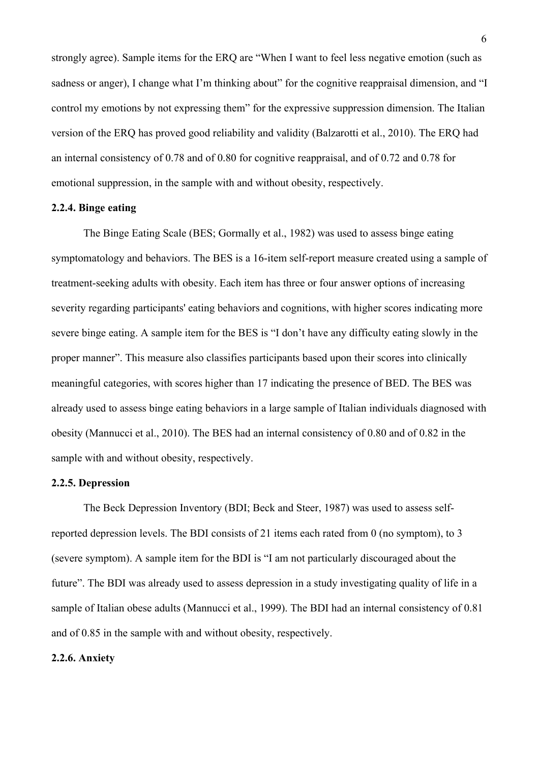strongly agree). Sample items for the ERQ are "When I want to feel less negative emotion (such as sadness or anger), I change what I'm thinking about" for the cognitive reappraisal dimension, and "I control my emotions by not expressing them" for the expressive suppression dimension. The Italian version of the ERQ has proved good reliability and validity (Balzarotti et al., 2010). The ERQ had an internal consistency of 0.78 and of 0.80 for cognitive reappraisal, and of 0.72 and 0.78 for emotional suppression, in the sample with and without obesity, respectively.

### **2.2.4. Binge eating**

The Binge Eating Scale (BES; Gormally et al., 1982) was used to assess binge eating symptomatology and behaviors. The BES is a 16-item self-report measure created using a sample of treatment-seeking adults with obesity. Each item has three or four answer options of increasing severity regarding participants' eating behaviors and cognitions, with higher scores indicating more severe binge eating. A sample item for the BES is "I don't have any difficulty eating slowly in the proper manner". This measure also classifies participants based upon their scores into clinically meaningful categories, with scores higher than 17 indicating the presence of BED. The BES was already used to assess binge eating behaviors in a large sample of Italian individuals diagnosed with obesity (Mannucci et al., 2010). The BES had an internal consistency of 0.80 and of 0.82 in the sample with and without obesity, respectively.

## **2.2.5. Depression**

The Beck Depression Inventory (BDI; Beck and Steer, 1987) was used to assess selfreported depression levels. The BDI consists of 21 items each rated from 0 (no symptom), to 3 (severe symptom). A sample item for the BDI is "I am not particularly discouraged about the future". The BDI was already used to assess depression in a study investigating quality of life in a sample of Italian obese adults (Mannucci et al., 1999). The BDI had an internal consistency of 0.81 and of 0.85 in the sample with and without obesity, respectively.

### **2.2.6. Anxiety**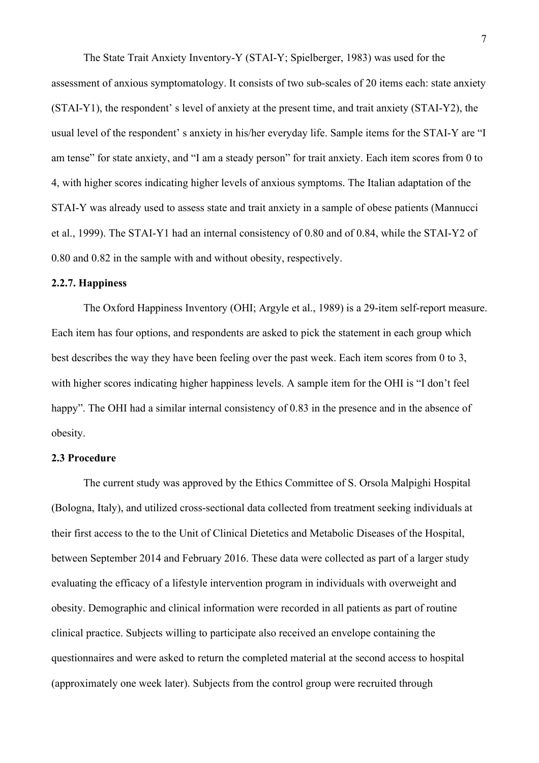The State Trait Anxiety Inventory-Y (STAI-Y; Spielberger, 1983) was used for the assessment of anxious symptomatology. It consists of two sub-scales of 20 items each: state anxiety (STAI-Y1), the respondent' s level of anxiety at the present time, and trait anxiety (STAI-Y2), the usual level of the respondent' s anxiety in his/her everyday life. Sample items for the STAI-Y are "I am tense" for state anxiety, and "I am a steady person" for trait anxiety. Each item scores from 0 to 4, with higher scores indicating higher levels of anxious symptoms. The Italian adaptation of the STAI-Y was already used to assess state and trait anxiety in a sample of obese patients (Mannucci et al., 1999). The STAI-Y1 had an internal consistency of 0.80 and of 0.84, while the STAI-Y2 of 0.80 and 0.82 in the sample with and without obesity, respectively.

# **2.2.7. Happiness**

The Oxford Happiness Inventory (OHI; Argyle et al., 1989) is a 29-item self-report measure. Each item has four options, and respondents are asked to pick the statement in each group which best describes the way they have been feeling over the past week. Each item scores from 0 to 3, with higher scores indicating higher happiness levels. A sample item for the OHI is "I don't feel happy". The OHI had a similar internal consistency of 0.83 in the presence and in the absence of obesity.

#### **2.3 Procedure**

The current study was approved by the Ethics Committee of S. Orsola Malpighi Hospital (Bologna, Italy), and utilized cross-sectional data collected from treatment seeking individuals at their first access to the to the Unit of Clinical Dietetics and Metabolic Diseases of the Hospital, between September 2014 and February 2016. These data were collected as part of a larger study evaluating the efficacy of a lifestyle intervention program in individuals with overweight and obesity. Demographic and clinical information were recorded in all patients as part of routine clinical practice. Subjects willing to participate also received an envelope containing the questionnaires and were asked to return the completed material at the second access to hospital (approximately one week later). Subjects from the control group were recruited through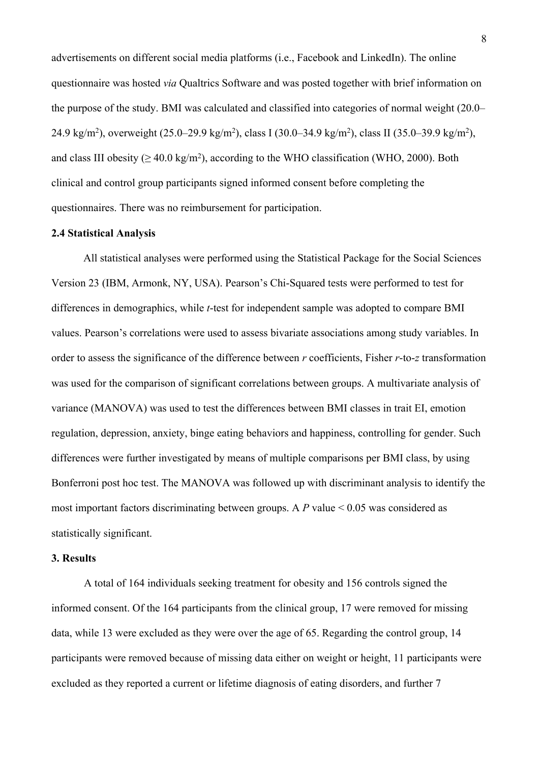advertisements on different social media platforms (i.e., Facebook and LinkedIn). The online questionnaire was hosted *via* Qualtrics Software and was posted together with brief information on the purpose of the study. BMI was calculated and classified into categories of normal weight (20.0– 24.9 kg/m<sup>2</sup>), overweight (25.0–29.9 kg/m<sup>2</sup>), class I (30.0–34.9 kg/m<sup>2</sup>), class II (35.0–39.9 kg/m<sup>2</sup>), and class III obesity ( $\geq 40.0 \text{ kg/m}^2$ ), according to the WHO classification (WHO, 2000). Both clinical and control group participants signed informed consent before completing the questionnaires. There was no reimbursement for participation.

## **2.4 Statistical Analysis**

All statistical analyses were performed using the Statistical Package for the Social Sciences Version 23 (IBM, Armonk, NY, USA). Pearson's Chi-Squared tests were performed to test for differences in demographics, while *t*-test for independent sample was adopted to compare BMI values. Pearson's correlations were used to assess bivariate associations among study variables. In order to assess the significance of the difference between *r* coefficients, Fisher *r*-to-*z* transformation was used for the comparison of significant correlations between groups. A multivariate analysis of variance (MANOVA) was used to test the differences between BMI classes in trait EI, emotion regulation, depression, anxiety, binge eating behaviors and happiness, controlling for gender. Such differences were further investigated by means of multiple comparisons per BMI class, by using Bonferroni post hoc test. The MANOVA was followed up with discriminant analysis to identify the most important factors discriminating between groups. A *P* value < 0.05 was considered as statistically significant.

### **3. Results**

A total of 164 individuals seeking treatment for obesity and 156 controls signed the informed consent. Of the 164 participants from the clinical group, 17 were removed for missing data, while 13 were excluded as they were over the age of 65. Regarding the control group, 14 participants were removed because of missing data either on weight or height, 11 participants were excluded as they reported a current or lifetime diagnosis of eating disorders, and further 7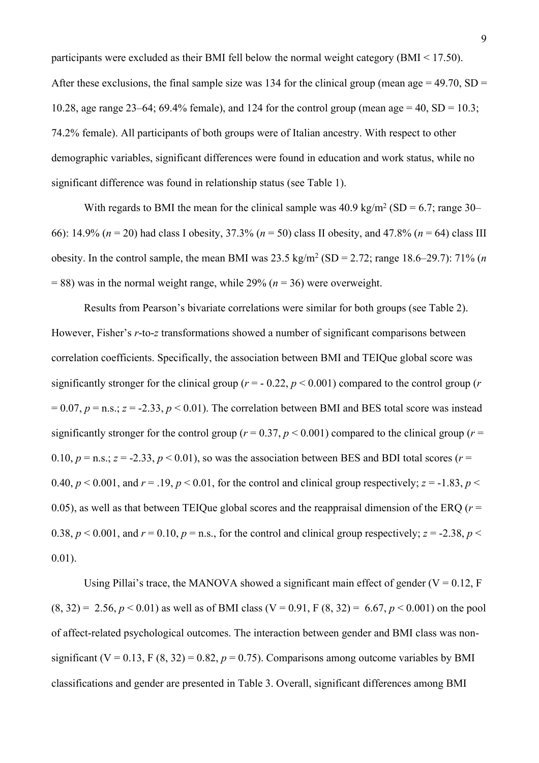participants were excluded as their BMI fell below the normal weight category (BMI < 17.50). After these exclusions, the final sample size was 134 for the clinical group (mean age  $= 49.70$ , SD  $=$ 10.28, age range 23–64; 69.4% female), and 124 for the control group (mean age = 40, SD = 10.3; 74.2% female). All participants of both groups were of Italian ancestry. With respect to other demographic variables, significant differences were found in education and work status, while no significant difference was found in relationship status (see Table 1).

With regards to BMI the mean for the clinical sample was  $40.9 \text{ kg/m}^2 \text{ (SD} = 6.7; \text{range } 30-$ 66): 14.9% (*n* = 20) had class I obesity, 37.3% (*n* = 50) class II obesity, and 47.8% (*n* = 64) class III obesity. In the control sample, the mean BMI was  $23.5 \text{ kg/m}^2 \text{ (SD = } 2.72 \text{; range } 18.6{\text{--}}29.7 \text{): } 71\% \text{ (}n$  $= 88$ ) was in the normal weight range, while 29% ( $n = 36$ ) were overweight.

Results from Pearson's bivariate correlations were similar for both groups (see Table 2). However, Fisher's *r*-to-*z* transformations showed a number of significant comparisons between correlation coefficients. Specifically, the association between BMI and TEIQue global score was significantly stronger for the clinical group ( $r = -0.22$ ,  $p < 0.001$ ) compared to the control group ( $r = -0.22$  $= 0.07$ ,  $p = n.s.$ ;  $z = -2.33$ ,  $p < 0.01$ ). The correlation between BMI and BES total score was instead significantly stronger for the control group ( $r = 0.37$ ,  $p < 0.001$ ) compared to the clinical group ( $r =$ 0.10,  $p =$  n.s.;  $z = -2.33$ ,  $p < 0.01$ ), so was the association between BES and BDI total scores ( $r =$ 0.40,  $p < 0.001$ , and  $r = 0.19$ ,  $p < 0.01$ , for the control and clinical group respectively;  $z = -1.83$ ,  $p <$ 0.05), as well as that between TEIQue global scores and the reappraisal dimension of the ERQ ( $r =$ 0.38,  $p < 0.001$ , and  $r = 0.10$ ,  $p = n.s$ , for the control and clinical group respectively;  $z = -2.38$ ,  $p <$ 0.01).

Using Pillai's trace, the MANOVA showed a significant main effect of gender ( $V = 0.12$ , F  $(8, 32) = 2.56, p < 0.01$  as well as of BMI class  $(V = 0.91, F(8, 32) = 6.67, p < 0.001$  on the pool of affect-related psychological outcomes. The interaction between gender and BMI class was nonsignificant (V = 0.13, F  $(8, 32) = 0.82$ ,  $p = 0.75$ ). Comparisons among outcome variables by BMI classifications and gender are presented in Table 3. Overall, significant differences among BMI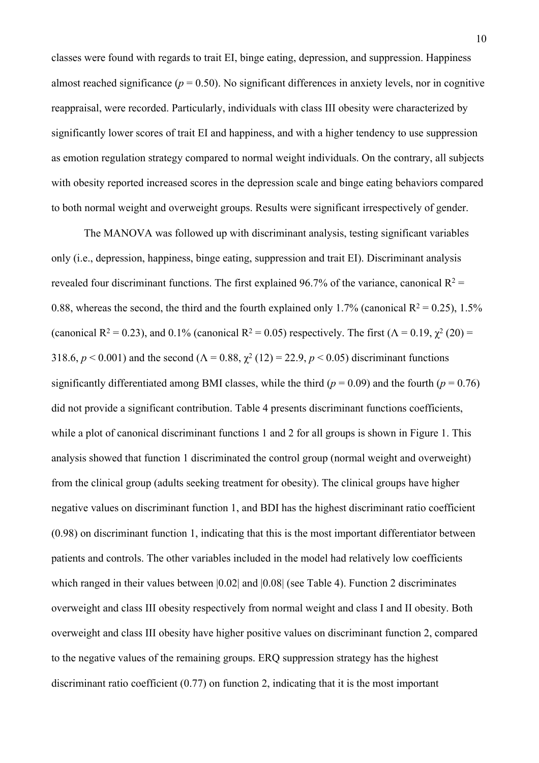classes were found with regards to trait EI, binge eating, depression, and suppression. Happiness almost reached significance ( $p = 0.50$ ). No significant differences in anxiety levels, nor in cognitive reappraisal, were recorded. Particularly, individuals with class III obesity were characterized by significantly lower scores of trait EI and happiness, and with a higher tendency to use suppression as emotion regulation strategy compared to normal weight individuals. On the contrary, all subjects with obesity reported increased scores in the depression scale and binge eating behaviors compared to both normal weight and overweight groups. Results were significant irrespectively of gender.

The MANOVA was followed up with discriminant analysis, testing significant variables only (i.e., depression, happiness, binge eating, suppression and trait EI). Discriminant analysis revealed four discriminant functions. The first explained 96.7% of the variance, canonical  $R^2$  = 0.88, whereas the second, the third and the fourth explained only 1.7% (canonical  $R^2 = 0.25$ ), 1.5% (canonical R<sup>2</sup> = 0.23), and 0.1% (canonical R<sup>2</sup> = 0.05) respectively. The first ( $\Lambda$  = 0.19,  $\chi^2$  (20) = 318.6,  $p < 0.001$ ) and the second ( $\Lambda = 0.88$ ,  $\chi^2$  (12) = 22.9,  $p < 0.05$ ) discriminant functions significantly differentiated among BMI classes, while the third ( $p = 0.09$ ) and the fourth ( $p = 0.76$ ) did not provide a significant contribution. Table 4 presents discriminant functions coefficients, while a plot of canonical discriminant functions 1 and 2 for all groups is shown in Figure 1. This analysis showed that function 1 discriminated the control group (normal weight and overweight) from the clinical group (adults seeking treatment for obesity). The clinical groups have higher negative values on discriminant function 1, and BDI has the highest discriminant ratio coefficient (0.98) on discriminant function 1, indicating that this is the most important differentiator between patients and controls. The other variables included in the model had relatively low coefficients which ranged in their values between  $|0.02|$  and  $|0.08|$  (see Table 4). Function 2 discriminates overweight and class III obesity respectively from normal weight and class I and II obesity. Both overweight and class III obesity have higher positive values on discriminant function 2, compared to the negative values of the remaining groups. ERQ suppression strategy has the highest discriminant ratio coefficient (0.77) on function 2, indicating that it is the most important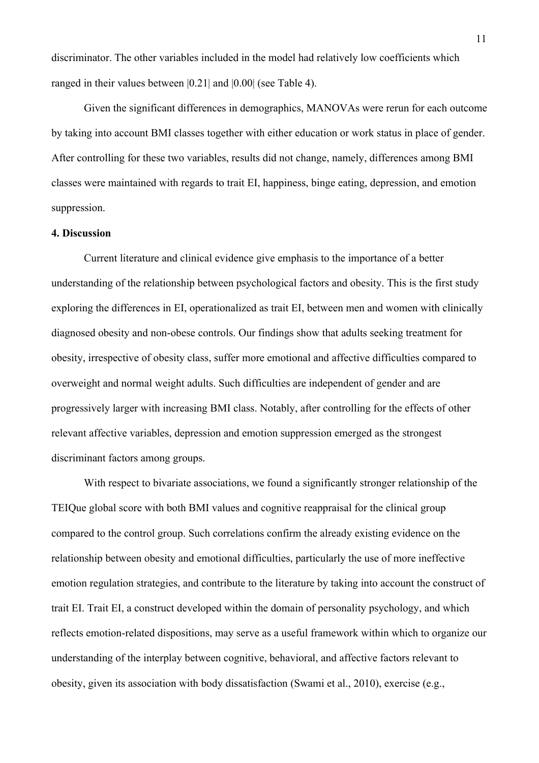discriminator. The other variables included in the model had relatively low coefficients which ranged in their values between |0.21| and |0.00| (see Table 4).

Given the significant differences in demographics, MANOVAs were rerun for each outcome by taking into account BMI classes together with either education or work status in place of gender. After controlling for these two variables, results did not change, namely, differences among BMI classes were maintained with regards to trait EI, happiness, binge eating, depression, and emotion suppression.

# **4. Discussion**

Current literature and clinical evidence give emphasis to the importance of a better understanding of the relationship between psychological factors and obesity. This is the first study exploring the differences in EI, operationalized as trait EI, between men and women with clinically diagnosed obesity and non-obese controls. Our findings show that adults seeking treatment for obesity, irrespective of obesity class, suffer more emotional and affective difficulties compared to overweight and normal weight adults. Such difficulties are independent of gender and are progressively larger with increasing BMI class. Notably, after controlling for the effects of other relevant affective variables, depression and emotion suppression emerged as the strongest discriminant factors among groups.

With respect to bivariate associations, we found a significantly stronger relationship of the TEIQue global score with both BMI values and cognitive reappraisal for the clinical group compared to the control group. Such correlations confirm the already existing evidence on the relationship between obesity and emotional difficulties, particularly the use of more ineffective emotion regulation strategies, and contribute to the literature by taking into account the construct of trait EI. Trait EI, a construct developed within the domain of personality psychology, and which reflects emotion-related dispositions, may serve as a useful framework within which to organize our understanding of the interplay between cognitive, behavioral, and affective factors relevant to obesity, given its association with body dissatisfaction (Swami et al., 2010), exercise (e.g.,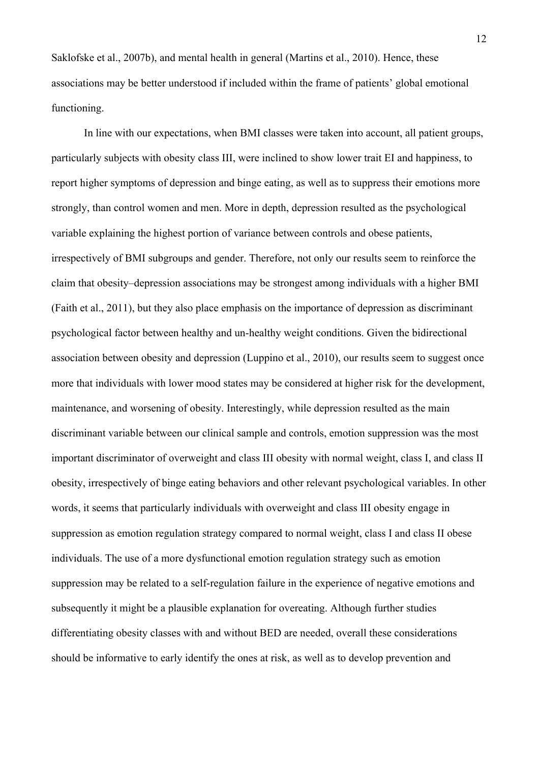Saklofske et al., 2007b), and mental health in general (Martins et al., 2010). Hence, these associations may be better understood if included within the frame of patients' global emotional functioning.

In line with our expectations, when BMI classes were taken into account, all patient groups, particularly subjects with obesity class III, were inclined to show lower trait EI and happiness, to report higher symptoms of depression and binge eating, as well as to suppress their emotions more strongly, than control women and men. More in depth, depression resulted as the psychological variable explaining the highest portion of variance between controls and obese patients, irrespectively of BMI subgroups and gender. Therefore, not only our results seem to reinforce the claim that obesity–depression associations may be strongest among individuals with a higher BMI (Faith et al., 2011), but they also place emphasis on the importance of depression as discriminant psychological factor between healthy and un-healthy weight conditions. Given the bidirectional association between obesity and depression (Luppino et al., 2010), our results seem to suggest once more that individuals with lower mood states may be considered at higher risk for the development, maintenance, and worsening of obesity. Interestingly, while depression resulted as the main discriminant variable between our clinical sample and controls, emotion suppression was the most important discriminator of overweight and class III obesity with normal weight, class I, and class II obesity, irrespectively of binge eating behaviors and other relevant psychological variables. In other words, it seems that particularly individuals with overweight and class III obesity engage in suppression as emotion regulation strategy compared to normal weight, class I and class II obese individuals. The use of a more dysfunctional emotion regulation strategy such as emotion suppression may be related to a self-regulation failure in the experience of negative emotions and subsequently it might be a plausible explanation for overeating. Although further studies differentiating obesity classes with and without BED are needed, overall these considerations should be informative to early identify the ones at risk, as well as to develop prevention and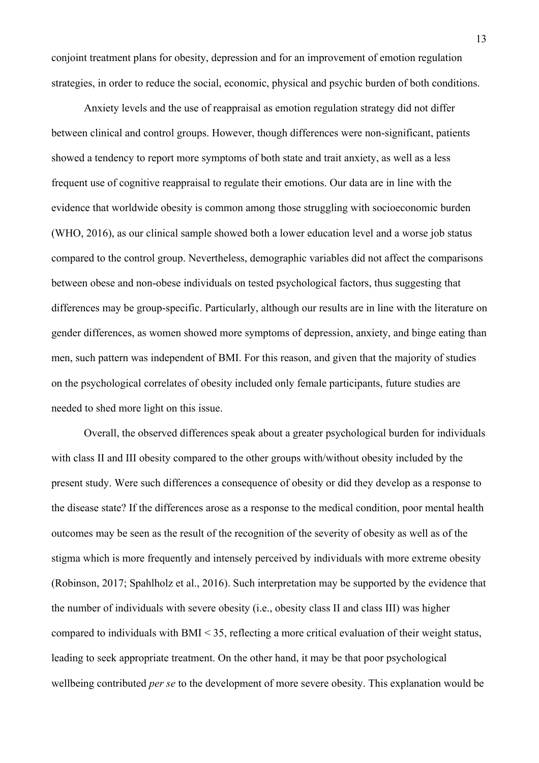conjoint treatment plans for obesity, depression and for an improvement of emotion regulation strategies, in order to reduce the social, economic, physical and psychic burden of both conditions.

Anxiety levels and the use of reappraisal as emotion regulation strategy did not differ between clinical and control groups. However, though differences were non-significant, patients showed a tendency to report more symptoms of both state and trait anxiety, as well as a less frequent use of cognitive reappraisal to regulate their emotions. Our data are in line with the evidence that worldwide obesity is common among those struggling with socioeconomic burden (WHO, 2016), as our clinical sample showed both a lower education level and a worse job status compared to the control group. Nevertheless, demographic variables did not affect the comparisons between obese and non-obese individuals on tested psychological factors, thus suggesting that differences may be group-specific. Particularly, although our results are in line with the literature on gender differences, as women showed more symptoms of depression, anxiety, and binge eating than men, such pattern was independent of BMI. For this reason, and given that the majority of studies on the psychological correlates of obesity included only female participants, future studies are needed to shed more light on this issue.

Overall, the observed differences speak about a greater psychological burden for individuals with class II and III obesity compared to the other groups with/without obesity included by the present study. Were such differences a consequence of obesity or did they develop as a response to the disease state? If the differences arose as a response to the medical condition, poor mental health outcomes may be seen as the result of the recognition of the severity of obesity as well as of the stigma which is more frequently and intensely perceived by individuals with more extreme obesity (Robinson, 2017; Spahlholz et al., 2016). Such interpretation may be supported by the evidence that the number of individuals with severe obesity (i.e., obesity class II and class III) was higher compared to individuals with BMI < 35, reflecting a more critical evaluation of their weight status, leading to seek appropriate treatment. On the other hand, it may be that poor psychological wellbeing contributed *per se* to the development of more severe obesity. This explanation would be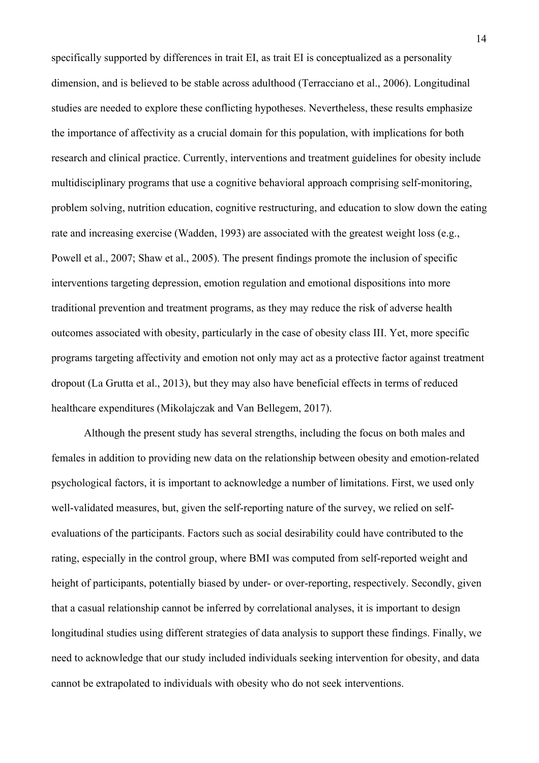specifically supported by differences in trait EI, as trait EI is conceptualized as a personality dimension, and is believed to be stable across adulthood (Terracciano et al., 2006). Longitudinal studies are needed to explore these conflicting hypotheses. Nevertheless, these results emphasize the importance of affectivity as a crucial domain for this population, with implications for both research and clinical practice. Currently, interventions and treatment guidelines for obesity include multidisciplinary programs that use a cognitive behavioral approach comprising self-monitoring, problem solving, nutrition education, cognitive restructuring, and education to slow down the eating rate and increasing exercise (Wadden, 1993) are associated with the greatest weight loss (e.g., Powell et al., 2007; Shaw et al., 2005). The present findings promote the inclusion of specific interventions targeting depression, emotion regulation and emotional dispositions into more traditional prevention and treatment programs, as they may reduce the risk of adverse health outcomes associated with obesity, particularly in the case of obesity class III. Yet, more specific programs targeting affectivity and emotion not only may act as a protective factor against treatment dropout (La Grutta et al., 2013), but they may also have beneficial effects in terms of reduced healthcare expenditures (Mikolajczak and Van Bellegem, 2017).

Although the present study has several strengths, including the focus on both males and females in addition to providing new data on the relationship between obesity and emotion-related psychological factors, it is important to acknowledge a number of limitations. First, we used only well-validated measures, but, given the self-reporting nature of the survey, we relied on selfevaluations of the participants. Factors such as social desirability could have contributed to the rating, especially in the control group, where BMI was computed from self-reported weight and height of participants, potentially biased by under- or over-reporting, respectively. Secondly, given that a casual relationship cannot be inferred by correlational analyses, it is important to design longitudinal studies using different strategies of data analysis to support these findings. Finally, we need to acknowledge that our study included individuals seeking intervention for obesity, and data cannot be extrapolated to individuals with obesity who do not seek interventions.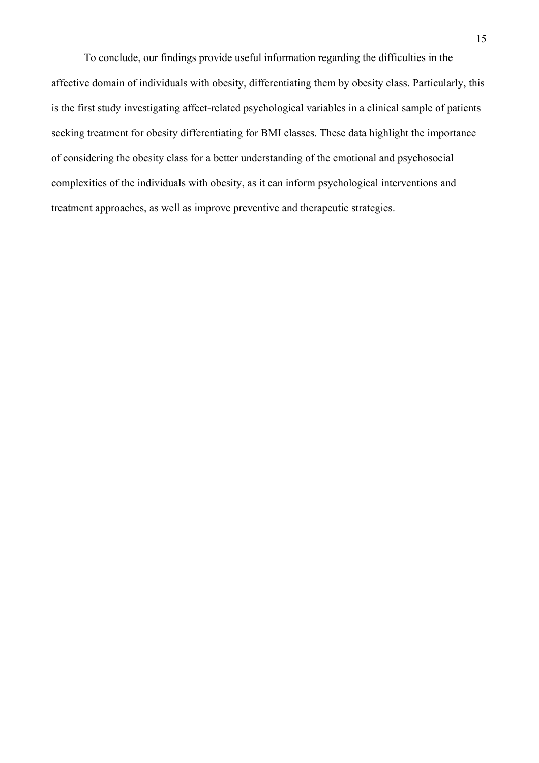To conclude, our findings provide useful information regarding the difficulties in the affective domain of individuals with obesity, differentiating them by obesity class. Particularly, this is the first study investigating affect-related psychological variables in a clinical sample of patients seeking treatment for obesity differentiating for BMI classes. These data highlight the importance of considering the obesity class for a better understanding of the emotional and psychosocial complexities of the individuals with obesity, as it can inform psychological interventions and treatment approaches, as well as improve preventive and therapeutic strategies.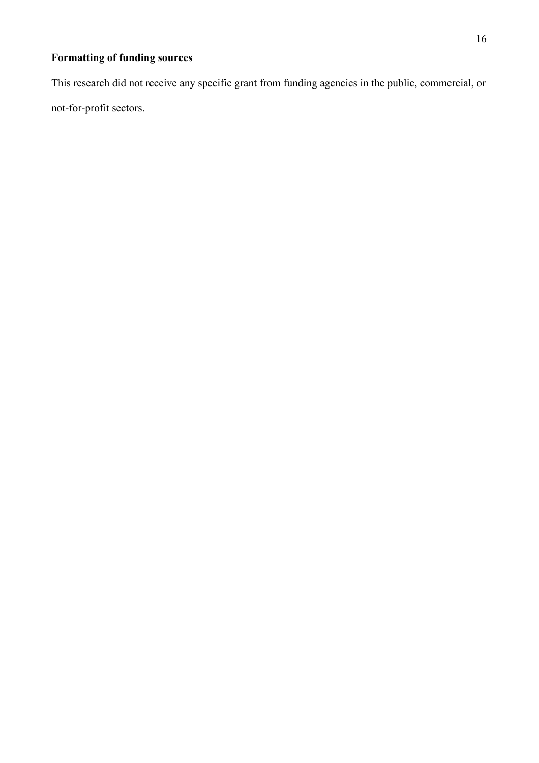# **Formatting of funding sources**

This research did not receive any specific grant from funding agencies in the public, commercial, or not-for-profit sectors.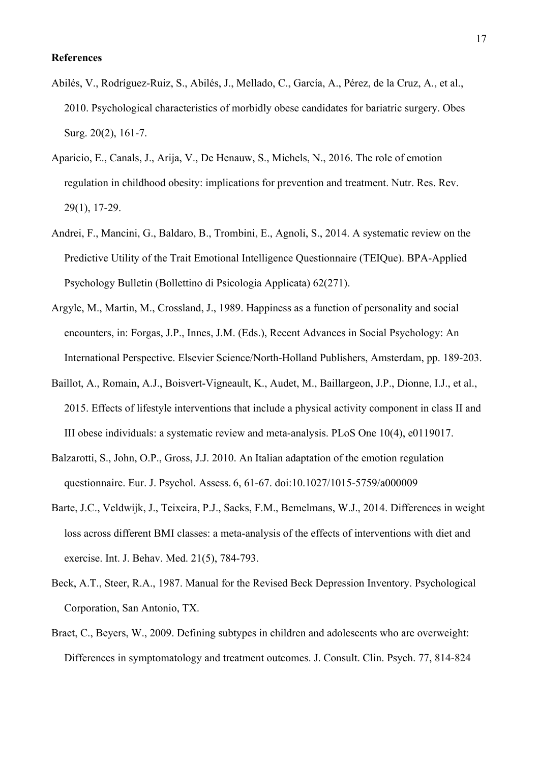- Abilés, V., Rodríguez-Ruiz, S., Abilés, J., Mellado, C., García, A., Pérez, de la Cruz, A., et al., 2010. Psychological characteristics of morbidly obese candidates for bariatric surgery. Obes Surg. 20(2), 161-7.
- Aparicio, E., Canals, J., Arija, V., De Henauw, S., Michels, N., 2016. The role of emotion regulation in childhood obesity: implications for prevention and treatment. Nutr. Res. Rev. 29(1), 17-29.
- Andrei, F., Mancini, G., Baldaro, B., Trombini, E., Agnoli, S., 2014. A systematic review on the Predictive Utility of the Trait Emotional Intelligence Questionnaire (TEIQue). BPA-Applied Psychology Bulletin (Bollettino di Psicologia Applicata) 62(271).
- Argyle, M., Martin, M., Crossland, J., 1989. Happiness as a function of personality and social encounters, in: Forgas, J.P., Innes, J.M. (Eds.), Recent Advances in Social Psychology: An International Perspective. Elsevier Science/North-Holland Publishers, Amsterdam, pp. 189-203.
- Baillot, A., Romain, A.J., Boisvert-Vigneault, K., Audet, M., Baillargeon, J.P., Dionne, I.J., et al., 2015. Effects of lifestyle interventions that include a physical activity component in class II and III obese individuals: a systematic review and meta-analysis. PLoS One 10(4), e0119017.
- Balzarotti, S., John, O.P., Gross, J.J. 2010. An Italian adaptation of the emotion regulation questionnaire. Eur. J. Psychol. Assess. 6, 61-67. doi:10.1027/1015-5759/a000009
- Barte, J.C., Veldwijk, J., Teixeira, P.J., Sacks, F.M., Bemelmans, W.J., 2014. Differences in weight loss across different BMI classes: a meta-analysis of the effects of interventions with diet and exercise. Int. J. Behav. Med. 21(5), 784-793.
- Beck, A.T., Steer, R.A., 1987. Manual for the Revised Beck Depression Inventory. Psychological Corporation, San Antonio, TX.
- Braet, C., Beyers, W., 2009. Defining subtypes in children and adolescents who are overweight: Differences in symptomatology and treatment outcomes. J. Consult. Clin. Psych. 77, 814-824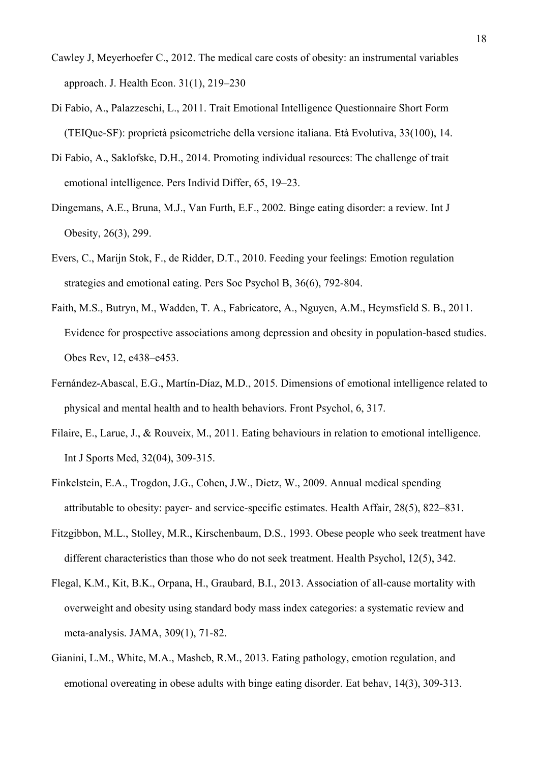- Cawley J, Meyerhoefer C., 2012. The medical care costs of obesity: an instrumental variables approach. J. Health Econ. 31(1), 219–230
- Di Fabio, A., Palazzeschi, L., 2011. Trait Emotional Intelligence Questionnaire Short Form (TEIQue-SF): proprietà psicometriche della versione italiana. Età Evolutiva, 33(100), 14.
- Di Fabio, A., Saklofske, D.H., 2014. Promoting individual resources: The challenge of trait emotional intelligence. Pers Individ Differ, 65, 19–23.
- Dingemans, A.E., Bruna, M.J., Van Furth, E.F., 2002. Binge eating disorder: a review. Int J Obesity, 26(3), 299.
- Evers, C., Marijn Stok, F., de Ridder, D.T., 2010. Feeding your feelings: Emotion regulation strategies and emotional eating. Pers Soc Psychol B, 36(6), 792-804.
- Faith, M.S., Butryn, M., Wadden, T. A., Fabricatore, A., Nguyen, A.M., Heymsfield S. B., 2011. Evidence for prospective associations among depression and obesity in population-based studies. Obes Rev, 12, e438–e453.
- Fernández-Abascal, E.G., Martín-Díaz, M.D., 2015. Dimensions of emotional intelligence related to physical and mental health and to health behaviors. Front Psychol, 6, 317.
- Filaire, E., Larue, J., & Rouveix, M., 2011. Eating behaviours in relation to emotional intelligence. Int J Sports Med, 32(04), 309-315.
- Finkelstein, E.A., Trogdon, J.G., Cohen, J.W., Dietz, W., 2009. Annual medical spending attributable to obesity: payer- and service-specific estimates. Health Affair, 28(5), 822–831.
- Fitzgibbon, M.L., Stolley, M.R., Kirschenbaum, D.S., 1993. Obese people who seek treatment have different characteristics than those who do not seek treatment. Health Psychol, 12(5), 342.
- Flegal, K.M., Kit, B.K., Orpana, H., Graubard, B.I., 2013. Association of all-cause mortality with overweight and obesity using standard body mass index categories: a systematic review and meta-analysis. JAMA, 309(1), 71-82.
- Gianini, L.M., White, M.A., Masheb, R.M., 2013. Eating pathology, emotion regulation, and emotional overeating in obese adults with binge eating disorder. Eat behav, 14(3), 309-313.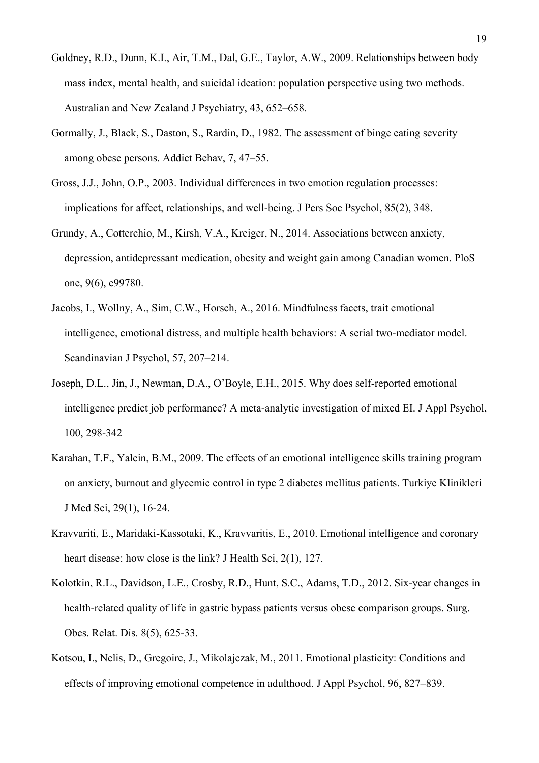- Goldney, R.D., Dunn, K.I., Air, T.M., Dal, G.E., Taylor, A.W., 2009. Relationships between body mass index, mental health, and suicidal ideation: population perspective using two methods. Australian and New Zealand J Psychiatry, 43, 652–658.
- Gormally, J., Black, S., Daston, S., Rardin, D., 1982. The assessment of binge eating severity among obese persons. Addict Behav, 7, 47–55.
- Gross, J.J., John, O.P., 2003. Individual differences in two emotion regulation processes: implications for affect, relationships, and well-being. J Pers Soc Psychol, 85(2), 348.
- Grundy, A., Cotterchio, M., Kirsh, V.A., Kreiger, N., 2014. Associations between anxiety, depression, antidepressant medication, obesity and weight gain among Canadian women. PloS one, 9(6), e99780.
- Jacobs, I., Wollny, A., Sim, C.W., Horsch, A., 2016. Mindfulness facets, trait emotional intelligence, emotional distress, and multiple health behaviors: A serial two-mediator model. Scandinavian J Psychol, 57, 207–214.
- Joseph, D.L., Jin, J., Newman, D.A., O'Boyle, E.H., 2015. Why does self-reported emotional intelligence predict job performance? A meta-analytic investigation of mixed EI. J Appl Psychol, 100, 298-342
- Karahan, T.F., Yalcin, B.M., 2009. The effects of an emotional intelligence skills training program on anxiety, burnout and glycemic control in type 2 diabetes mellitus patients. Turkiye Klinikleri J Med Sci, 29(1), 16-24.
- Kravvariti, E., Maridaki-Kassotaki, K., Kravvaritis, E., 2010. Emotional intelligence and coronary heart disease: how close is the link? J Health Sci, 2(1), 127.
- Kolotkin, R.L., Davidson, L.E., Crosby, R.D., Hunt, S.C., Adams, T.D., 2012. Six-year changes in health-related quality of life in gastric bypass patients versus obese comparison groups. Surg. Obes. Relat. Dis. 8(5), 625-33.
- Kotsou, I., Nelis, D., Gregoire, J., Mikolajczak, M., 2011. Emotional plasticity: Conditions and effects of improving emotional competence in adulthood. J Appl Psychol, 96, 827–839.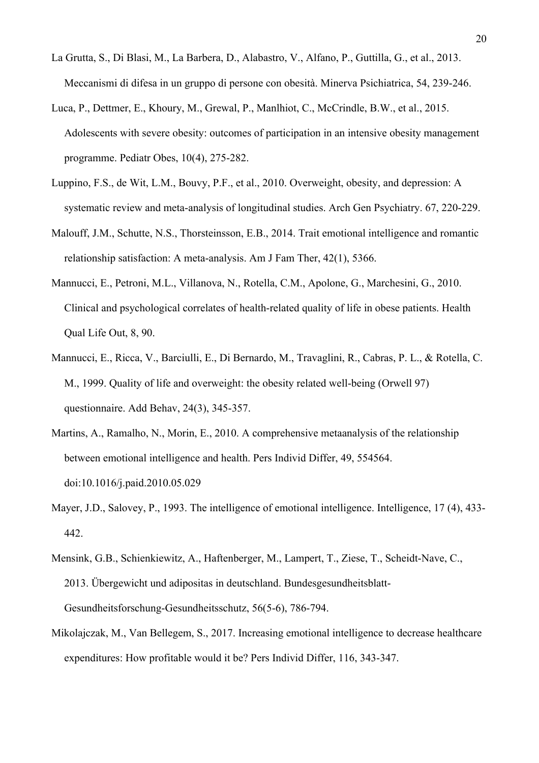- La Grutta, S., Di Blasi, M., La Barbera, D., Alabastro, V., Alfano, P., Guttilla, G., et al., 2013. Meccanismi di difesa in un gruppo di persone con obesità. Minerva Psichiatrica, 54, 239-246.
- Luca, P., Dettmer, E., Khoury, M., Grewal, P., Manlhiot, C., McCrindle, B.W., et al., 2015. Adolescents with severe obesity: outcomes of participation in an intensive obesity management programme. Pediatr Obes, 10(4), 275-282.
- Luppino, F.S., de Wit, L.M., Bouvy, P.F., et al., 2010. Overweight, obesity, and depression: A systematic review and meta-analysis of longitudinal studies. Arch Gen Psychiatry. 67, 220-229.
- Malouff, J.M., Schutte, N.S., Thorsteinsson, E.B., 2014. Trait emotional intelligence and romantic relationship satisfaction: A meta-analysis. Am J Fam Ther, 42(1), 5366.
- Mannucci, E., Petroni, M.L., Villanova, N., Rotella, C.M., Apolone, G., Marchesini, G., 2010. Clinical and psychological correlates of health-related quality of life in obese patients. Health Qual Life Out, 8, 90.
- Mannucci, E., Ricca, V., Barciulli, E., Di Bernardo, M., Travaglini, R., Cabras, P. L., & Rotella, C. M., 1999. Quality of life and overweight: the obesity related well-being (Orwell 97) questionnaire. Add Behav, 24(3), 345-357.
- Martins, A., Ramalho, N., Morin, E., 2010. A comprehensive metaanalysis of the relationship between emotional intelligence and health. Pers Individ Differ, 49, 554564. doi:10.1016/j.paid.2010.05.029
- Mayer, J.D., Salovey, P., 1993. The intelligence of emotional intelligence. Intelligence, 17 (4), 433- 442.
- Mensink, G.B., Schienkiewitz, A., Haftenberger, M., Lampert, T., Ziese, T., Scheidt-Nave, C., 2013. Übergewicht und adipositas in deutschland. Bundesgesundheitsblatt-Gesundheitsforschung-Gesundheitsschutz, 56(5-6), 786-794.
- Mikolajczak, M., Van Bellegem, S., 2017. Increasing emotional intelligence to decrease healthcare expenditures: How profitable would it be? Pers Individ Differ, 116, 343-347.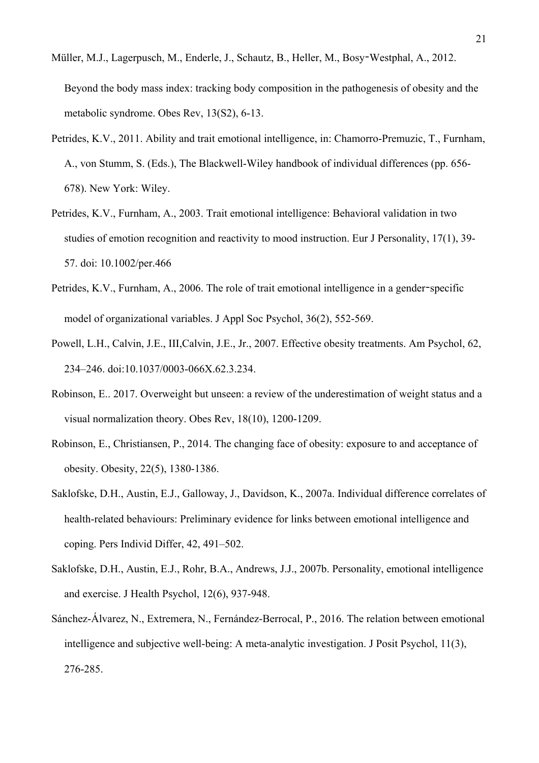- Müller, M.J., Lagerpusch, M., Enderle, J., Schautz, B., Heller, M., Bosy‐Westphal, A., 2012. Beyond the body mass index: tracking body composition in the pathogenesis of obesity and the metabolic syndrome. Obes Rev, 13(S2), 6-13.
- Petrides, K.V., 2011. Ability and trait emotional intelligence, in: Chamorro-Premuzic, T., Furnham, A., von Stumm, S. (Eds.), The Blackwell-Wiley handbook of individual differences (pp. 656- 678). New York: Wiley.
- Petrides, K.V., Furnham, A., 2003. Trait emotional intelligence: Behavioral validation in two studies of emotion recognition and reactivity to mood instruction. Eur J Personality, 17(1), 39- 57. doi: 10.1002/per.466
- Petrides, K.V., Furnham, A., 2006. The role of trait emotional intelligence in a gender-specific model of organizational variables. J Appl Soc Psychol, 36(2), 552-569.
- Powell, L.H., Calvin, J.E., III,Calvin, J.E., Jr., 2007. Effective obesity treatments. Am Psychol, 62, 234–246. doi:10.1037/0003-066X.62.3.234.
- Robinson, E.. 2017. Overweight but unseen: a review of the underestimation of weight status and a visual normalization theory. Obes Rev, 18(10), 1200-1209.
- Robinson, E., Christiansen, P., 2014. The changing face of obesity: exposure to and acceptance of obesity. Obesity, 22(5), 1380-1386.
- Saklofske, D.H., Austin, E.J., Galloway, J., Davidson, K., 2007a. Individual difference correlates of health-related behaviours: Preliminary evidence for links between emotional intelligence and coping. Pers Individ Differ, 42, 491–502.
- Saklofske, D.H., Austin, E.J., Rohr, B.A., Andrews, J.J., 2007b. Personality, emotional intelligence and exercise. J Health Psychol, 12(6), 937-948.
- Sánchez-Álvarez, N., Extremera, N., Fernández-Berrocal, P., 2016. The relation between emotional intelligence and subjective well-being: A meta-analytic investigation. J Posit Psychol, 11(3), 276-285.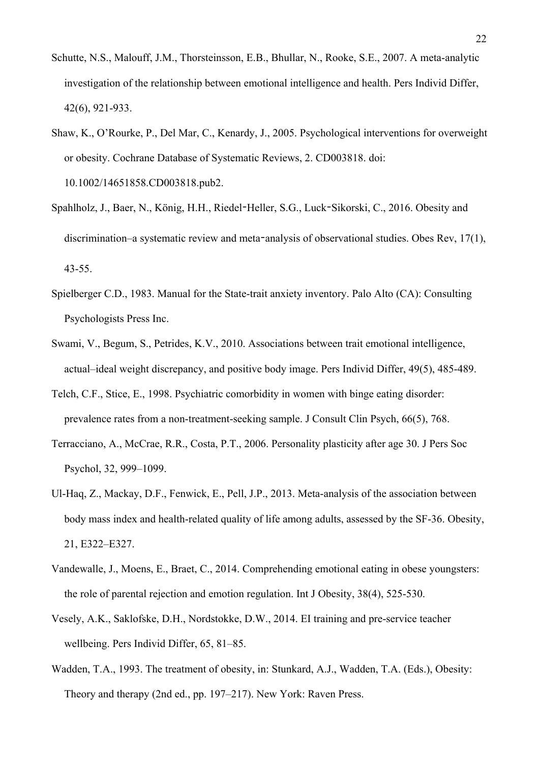- Schutte, N.S., Malouff, J.M., Thorsteinsson, E.B., Bhullar, N., Rooke, S.E., 2007. A meta-analytic investigation of the relationship between emotional intelligence and health. Pers Individ Differ, 42(6), 921-933.
- Shaw, K., O'Rourke, P., Del Mar, C., Kenardy, J., 2005. Psychological interventions for overweight or obesity. Cochrane Database of Systematic Reviews, 2. CD003818. doi: 10.1002/14651858.CD003818.pub2.
- Spahlholz, J., Baer, N., König, H.H., Riedel‐Heller, S.G., Luck‐Sikorski, C., 2016. Obesity and discrimination–a systematic review and meta-analysis of observational studies. Obes Rev, 17(1), 43-55.
- Spielberger C.D., 1983. Manual for the State-trait anxiety inventory. Palo Alto (CA): Consulting Psychologists Press Inc.
- Swami, V., Begum, S., Petrides, K.V., 2010. Associations between trait emotional intelligence, actual–ideal weight discrepancy, and positive body image. Pers Individ Differ, 49(5), 485-489.
- Telch, C.F., Stice, E., 1998. Psychiatric comorbidity in women with binge eating disorder: prevalence rates from a non-treatment-seeking sample. J Consult Clin Psych, 66(5), 768.
- Terracciano, A., McCrae, R.R., Costa, P.T., 2006. Personality plasticity after age 30. J Pers Soc Psychol, 32, 999–1099.
- Ul-Haq, Z., Mackay, D.F., Fenwick, E., Pell, J.P., 2013. Meta-analysis of the association between body mass index and health-related quality of life among adults, assessed by the SF-36. Obesity, 21, E322–E327.
- Vandewalle, J., Moens, E., Braet, C., 2014. Comprehending emotional eating in obese youngsters: the role of parental rejection and emotion regulation. Int J Obesity, 38(4), 525-530.
- Vesely, A.K., Saklofske, D.H., Nordstokke, D.W., 2014. EI training and pre-service teacher wellbeing. Pers Individ Differ, 65, 81–85.
- Wadden, T.A., 1993. The treatment of obesity, in: Stunkard, A.J., Wadden, T.A. (Eds.), Obesity: Theory and therapy (2nd ed., pp. 197–217). New York: Raven Press.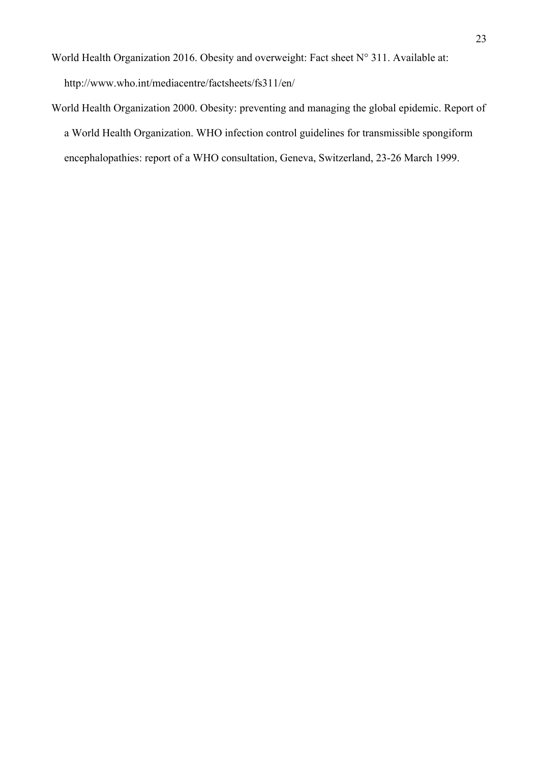- World Health Organization 2016. Obesity and overweight: Fact sheet N° 311. Available at: http://www.who.int/mediacentre/factsheets/fs311/en/
- World Health Organization 2000. Obesity: preventing and managing the global epidemic. Report of a World Health Organization. WHO infection control guidelines for transmissible spongiform encephalopathies: report of a WHO consultation, Geneva, Switzerland, 23-26 March 1999.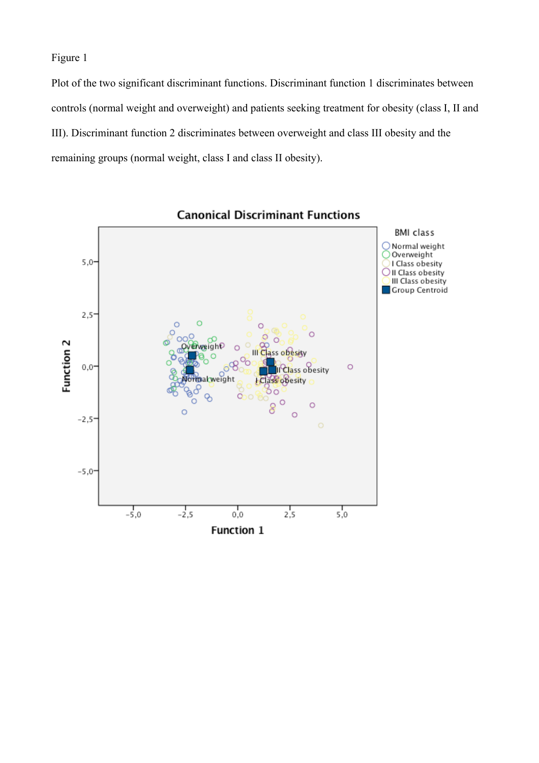Figure 1

Plot of the two significant discriminant functions. Discriminant function 1 discriminates between controls (normal weight and overweight) and patients seeking treatment for obesity (class I, II and III). Discriminant function 2 discriminates between overweight and class III obesity and the remaining groups (normal weight, class I and class II obesity).



**Canonical Discriminant Functions**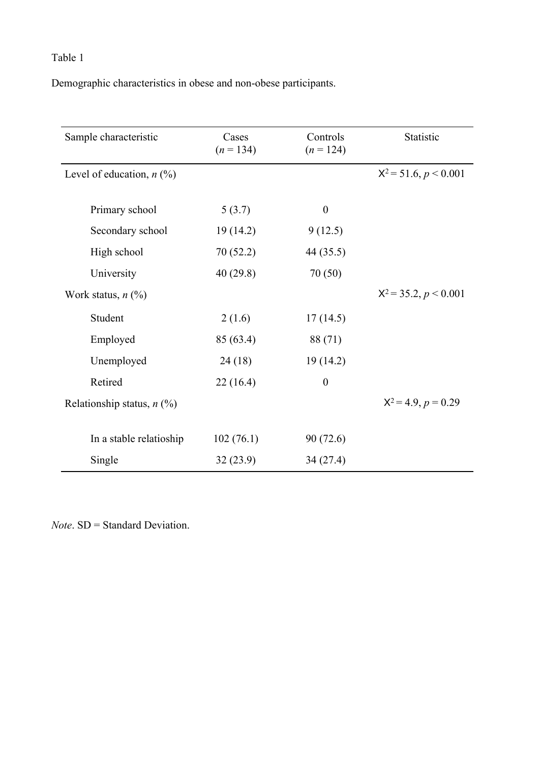Demographic characteristics in obese and non-obese participants.

| Sample characteristic        | Cases<br>$(n = 134)$ | Controls<br>$(n = 124)$ | Statistic               |
|------------------------------|----------------------|-------------------------|-------------------------|
| Level of education, $n$ (%)  |                      |                         | $X^2 = 51.6, p < 0.001$ |
| Primary school               | 5(3.7)               | $\boldsymbol{0}$        |                         |
| Secondary school             | 19(14.2)             | 9(12.5)                 |                         |
| High school                  | 70(52.2)             | 44 (35.5)               |                         |
| University                   | 40(29.8)             | 70(50)                  |                         |
| Work status, $n$ $(\%)$      |                      |                         | $X^2 = 35.2, p < 0.001$ |
| Student                      | 2(1.6)               | 17(14.5)                |                         |
| Employed                     | 85 (63.4)            | 88 (71)                 |                         |
| Unemployed                   | 24(18)               | 19(14.2)                |                         |
| Retired                      | 22(16.4)             | $\boldsymbol{0}$        |                         |
| Relationship status, $n$ (%) |                      |                         | $X^2 = 4.9, p = 0.29$   |
|                              |                      |                         |                         |
| In a stable relatioship      | 102(76.1)            | 90 (72.6)               |                         |
| Single                       | 32(23.9)             | 34(27.4)                |                         |

*Note*. SD = Standard Deviation.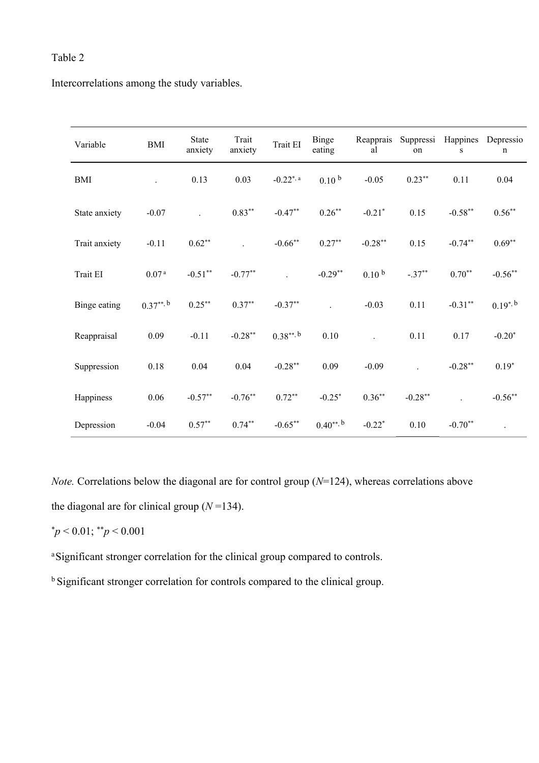Intercorrelations among the study variables.

| Variable      | <b>BMI</b>        | <b>State</b><br>anxiety | Trait<br>anxiety | Trait EI                | Reapprais<br>Suppressi<br>Binge<br>eating<br>al<br>on<br>$\mathbf S$ |                      | Happines  | Depressio<br>n |              |
|---------------|-------------------|-------------------------|------------------|-------------------------|----------------------------------------------------------------------|----------------------|-----------|----------------|--------------|
| BMI           |                   | 0.13                    | 0.03             | $-0.22$ <sup>*, a</sup> | 0.10 <sup>b</sup>                                                    | $-0.05$              | $0.23***$ | 0.11           | 0.04         |
| State anxiety | $-0.07$           |                         | $0.83**$         | $-0.47**$               | $0.26**$                                                             | $-0.21*$             | 0.15      | $-0.58***$     | $0.56**$     |
| Trait anxiety | $-0.11$           | $0.62**$                |                  | $-0.66$ **              | $0.27**$                                                             | $-0.28**$            | 0.15      | $-0.74**$      | $0.69**$     |
| Trait EI      | 0.07 <sup>a</sup> | $-0.51**$               | $-0.77**$        |                         | $-0.29**$                                                            | 0.10 <sup>b</sup>    | $-.37**$  | $0.70**$       | $-0.56**$    |
| Binge eating  | $0.37***$ , b     | $0.25***$               | $0.37**$         | $-0.37**$               |                                                                      | $-0.03$              | 0.11      | $-0.31**$      | $0.19^{*,b}$ |
| Reappraisal   | 0.09              | $-0.11$                 | $-0.28**$        | $0.38***$ , b           | 0.10                                                                 |                      | 0.11      | 0.17           | $-0.20*$     |
| Suppression   | 0.18              | 0.04                    | 0.04             | $-0.28**$               | 0.09                                                                 | $-0.09$              |           | $-0.28***$     | $0.19*$      |
| Happiness     | 0.06              | $-0.57**$               | $-0.76**$        | $0.72**$                | $-0.25*$                                                             | $0.36**$             | $-0.28**$ |                | $-0.56**$    |
| Depression    | $-0.04$           | $0.57**$                | $0.74**$         | $-0.65***$              | $0.40^{**}$ , b                                                      | $-0.22$ <sup>*</sup> | 0.10      | $-0.70**$      |              |

*Note.* Correlations below the diagonal are for control group (*N*=124), whereas correlations above the diagonal are for clinical group  $(N=134)$ .

$$
^{\ast}p<0.01; ^{\ast\ast}p<0.001
$$

<sup>a</sup>Significant stronger correlation for the clinical group compared to controls.

b Significant stronger correlation for controls compared to the clinical group.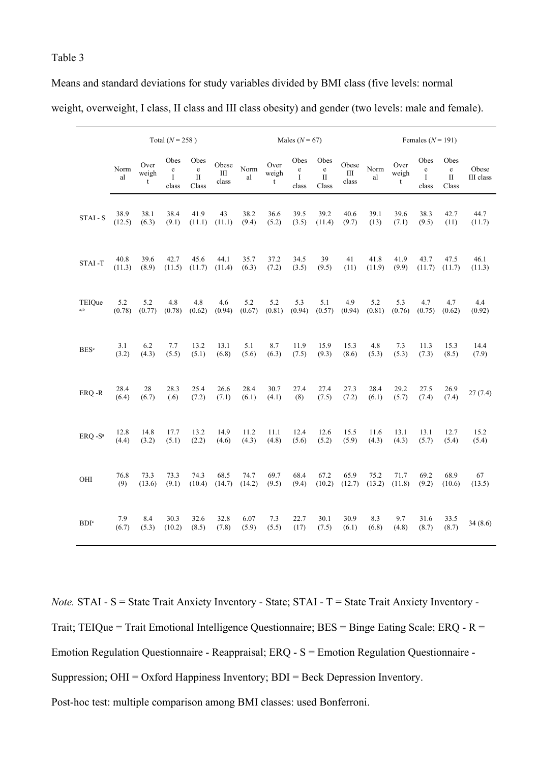| Means and standard deviations for study variables divided by BMI class (five levels: normal            |  |
|--------------------------------------------------------------------------------------------------------|--|
| weight, overweight, I class, II class and III class obesity) and gender (two levels: male and female). |  |

|                         | Total ( $N = 258$ ) |                    |                                     |                                                 |                             |               |                               | Males ( $N = 67$ )                              |                                                 |                     | Females ( $N = 191$ ) |                              |                                          |                                      |                    |
|-------------------------|---------------------|--------------------|-------------------------------------|-------------------------------------------------|-----------------------------|---------------|-------------------------------|-------------------------------------------------|-------------------------------------------------|---------------------|-----------------------|------------------------------|------------------------------------------|--------------------------------------|--------------------|
|                         | Norm<br>al          | Over<br>weigh<br>t | Obes<br>$\rm e$<br>$\rm I$<br>class | Obes<br>$\mathbf{e}% _{w}$<br>$\rm II$<br>Class | Obese<br>$\rm III$<br>class | Norm<br>al    | Over<br>weigh<br>$\mathsf{t}$ | Obes<br>$\mathbf{e}% _{w}$<br>$\bf{I}$<br>class | Obes<br>$\mathbf{e}% _{w}$<br>$\rm II$<br>Class | Obese<br>Ш<br>class | Norm<br>al            | Over<br>weigh<br>$\mathbf t$ | Obes<br>$\mathbf e$<br>$\bf{I}$<br>class | Obes<br>$\rm e$<br>$\rm II$<br>Class | Obese<br>III class |
| STAI - S                | 38.9                | 38.1               | 38.4                                | 41.9                                            | 43                          | 38.2          | 36.6                          | 39.5                                            | 39.2                                            | 40.6                | 39.1                  | 39.6                         | 38.3                                     | 42.7                                 | 44.7               |
|                         | (12.5)              | (6.3)              | (9.1)                               | (11.1)                                          | (11.1)                      | (9.4)         | (5.2)                         | (3.5)                                           | (11.4)                                          | (9.7)               | (13)                  | (7.1)                        | (9.5)                                    | (11)                                 | (11.7)             |
| STAI-T                  | 40.8                | 39.6               | 42.7                                | 45.6                                            | 44.1                        | 35.7          | 37.2                          | 34.5                                            | 39                                              | 41                  | 41.8                  | 41.9                         | 43.7                                     | 47.5                                 | 46.1               |
|                         | (11.3)              | (8.9)              | (11.5)                              | (11.7)                                          | (11.4)                      | (6.3)         | (7.2)                         | (3.5)                                           | (9.5)                                           | (11)                | (11.9)                | (9.9)                        | (11.7)                                   | (11.7)                               | (11.3)             |
| TEIOue                  | 5.2                 | 5.2                | 4.8                                 | 4.8                                             | 4.6                         | 5.2           | 5.2                           | 5.3                                             | 5.1                                             | 4.9                 | 5.2                   | 5.3                          | 4.7                                      | 4.7                                  | 4.4                |
| a,b                     | (0.78)              | (0.77)             | (0.78)                              | (0.62)                                          | (0.94)                      | (0.67)        | (0.81)                        | (0.94)                                          | (0.57)                                          | (0.94)              | (0.81)                | (0.76)                       | (0.75)                                   | (0.62)                               | (0.92)             |
| <b>BES</b> <sup>c</sup> | 3.1                 | 6.2                | 7.7                                 | 13.2                                            | 13.1                        | 5.1           | 8.7                           | 11.9                                            | 15.9                                            | 15.3                | 4.8                   | 7.3                          | 11.3                                     | 15.3                                 | 14.4               |
|                         | (3.2)               | (4.3)              | (5.5)                               | (5.1)                                           | (6.8)                       | (5.6)         | (6.3)                         | (7.5)                                           | (9.3)                                           | (8.6)               | (5.3)                 | (5.3)                        | (7.3)                                    | (8.5)                                | (7.9)              |
| ERQ-R                   | 28.4<br>(6.4)       | 28<br>(6.7)        | 28.3<br>(.6)                        | 25.4<br>(7.2)                                   | 26.6<br>(7.1)               | 28.4<br>(6.1) | 30.7<br>(4.1)                 | 27.4<br>(8)                                     | 27.4<br>(7.5)                                   | 27.3<br>(7.2)       | 28.4<br>(6.1)         | 29.2<br>(5.7)                | 27.5<br>(7.4)                            | 26.9<br>(7.4)                        | 27(7.4)            |
| ERQ -S <sup>a</sup>     | 12.8                | 14.8               | 17.7                                | 13.2                                            | 14.9                        | 11.2          | 11.1                          | 12.4                                            | 12.6                                            | 15.5                | 11.6                  | 13.1                         | 13.1                                     | 12.7                                 | 15.2               |
|                         | (4.4)               | (3.2)              | (5.1)                               | (2.2)                                           | (4.6)                       | (4.3)         | (4.8)                         | (5.6)                                           | (5.2)                                           | (5.9)               | (4.3)                 | (4.3)                        | (5.7)                                    | (5.4)                                | (5.4)              |
| OHI                     | 76.8                | 73.3               | 73.3                                | 74.3                                            | 68.5                        | 74.7          | 69.7                          | 68.4                                            | 67.2                                            | 65.9                | 75.2                  | 71.7                         | 69.2                                     | 68.9                                 | 67                 |
|                         | (9)                 | (13.6)             | (9.1)                               | (10.4)                                          | (14.7)                      | (14.2)        | (9.5)                         | (9.4)                                           | (10.2)                                          | (12.7)              | (13.2)                | (11.8)                       | (9.2)                                    | (10.6)                               | (13.5)             |
| <b>BDI</b> <sup>c</sup> | 7.9<br>(6.7)        | 8.4<br>(5.3)       | 30.3<br>(10.2)                      | 32.6<br>(8.5)                                   | 32.8<br>(7.8)               | 6.07<br>(5.9) | 7.3<br>(5.5)                  | 22.7<br>(17)                                    | 30.1<br>(7.5)                                   | 30.9<br>(6.1)       | 8.3<br>(6.8)          | 9.7<br>(4.8)                 | 31.6<br>(8.7)                            | 33.5<br>(8.7)                        | 34(8.6)            |

*Note.* STAI - S = State Trait Anxiety Inventory - State; STAI - T = State Trait Anxiety Inventory -Trait; TEIQue = Trait Emotional Intelligence Questionnaire; BES = Binge Eating Scale; ERQ - R = Emotion Regulation Questionnaire - Reappraisal; ERQ - S = Emotion Regulation Questionnaire - Suppression; OHI = Oxford Happiness Inventory; BDI = Beck Depression Inventory. Post-hoc test: multiple comparison among BMI classes: used Bonferroni.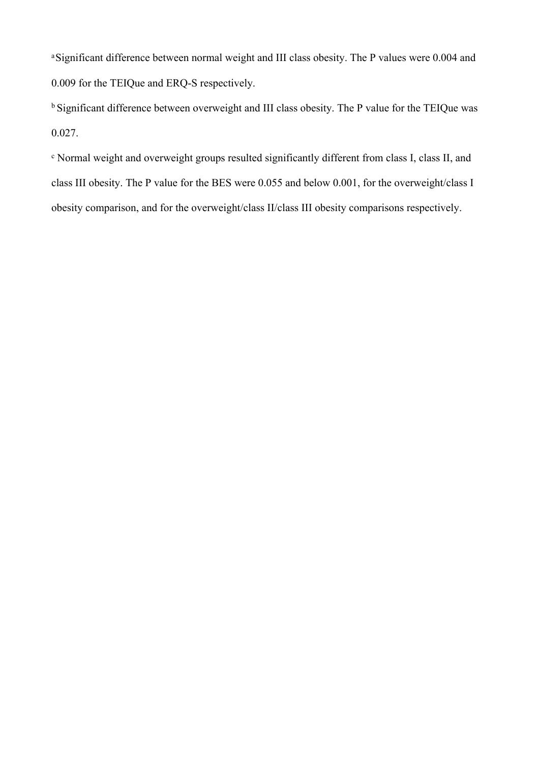<sup>a</sup>Significant difference between normal weight and III class obesity. The P values were 0.004 and 0.009 for the TEIQue and ERQ-S respectively.

<sup>b</sup> Significant difference between overweight and III class obesity. The P value for the TEIQue was 0.027.

c Normal weight and overweight groups resulted significantly different from class I, class II, and class III obesity. The P value for the BES were 0.055 and below 0.001, for the overweight/class I obesity comparison, and for the overweight/class II/class III obesity comparisons respectively.